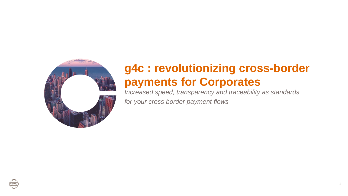

# **g4c : revolutionizing cross-border payments for Corporates**

*Increased speed, transparency and traceability as standards for your cross border payment flows*

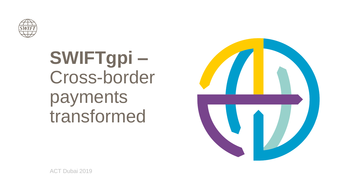

# **SWIFTgpi –** Cross-border payments transformed



ACT Dubai 2019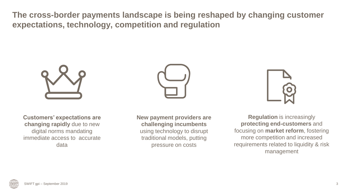**The cross-border payments landscape is being reshaped by changing customer expectations, technology, competition and regulation**





**Customers' expectations are changing rapidly** due to new digital norms mandating immediate access to accurate data

**New payment providers are challenging incumbents**  using technology to disrupt traditional models, putting pressure on costs



**Regulation** is increasingly **protecting end-customers** and focusing on **market reform**, fostering more competition and increased requirements related to liquidity & risk management

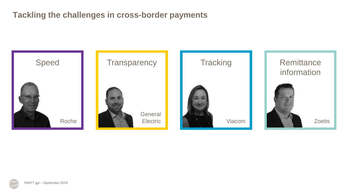# **Tackling the challenges in cross-border payments**



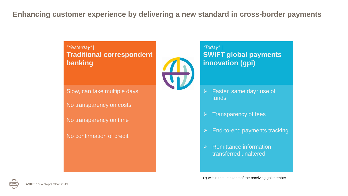# **Enhancing customer experience by delivering a new standard in cross-border payments**

*"Yesterday" |* **Traditional correspondent banking** 

Slow, can take multiple days

No transparency on costs

No transparency on time

No confirmation of credit



## *"Today" |*  **SWIFT global payments innovation (gpi)**

- $\triangleright$  Faster, same day\* use of funds
- $\triangleright$  Transparency of fees
- ➢ End-to-end payments tracking
- ➢ Remittance information transferred unaltered

(\*) within the timezone of the receiving gpi member

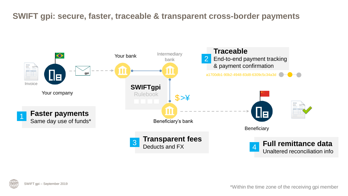# **SWIFT gpi: secure, faster, traceable & transparent cross-border payments**



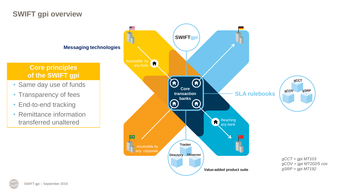# **SWIFT gpi overview**

#### **Messaging technologies**

# **Core principles of the SWIFT gpi**

- Same day use of funds
- Transparency of fees
- End-to-end tracking
- Remittance information transferred unaltered



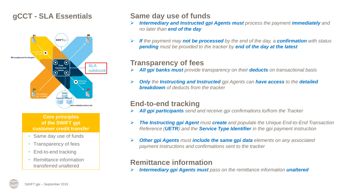# **gCCT - SLA Essentials**



#### **Core principles of the SWIFT gpi customer credit transfer**

- Same day use of funds
- Transparency of fees
- End-to-end tracking
- Remittance information transferred unaltered

# **Same day use of funds**

- ➢ *Intermediary and Instructed gpi Agents must process the payment immediately and no later than end of the day*
- ➢ *If the payment may not be processed by the end of the day, a confirmation with status pending must be provided to the tracker by end of the day at the latest*

# **Transparency of fees**

- ➢ *All gpi banks must provide transparency on their deducts on transactional basis*
- ➢ *Only the Instructing and Instructed gpi Agents can have access to the detailed breakdown of deducts from the tracker*

# **End-to-end tracking**

- ➢ *All gpi participants send and receive gpi confirmations to/from the Tracker*
- ➢ *The Instructing gpi Agent must create and populate the Unique End-to-End Transaction Reference (UETR) and the Service Type Identifier in the gpi payment instruction*
- ➢ *Other gpi Agents must include the same gpi data elements on any associated payment instructions and confirmations sent to the tracker*

# **Remittance information**

➢ *Intermediary gpi Agents must pass on the remittance information unaltered*

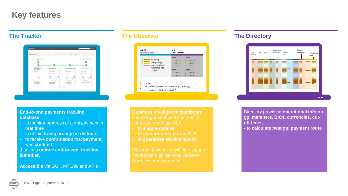# **Key features**

| Find states<br>Completed<br>Credited to beneficiary continues                | kenned James Hall Mittell<br><b>EXPERIENCE ADMINIST</b><br>465 000 DE USD - +                 | fair nearer<br>Creditory pressure<br><b>Thefamily BR</b><br>70 U1D<br><sup>5</sup> Ne their<br>484,530,001/80<br>$-988$ | line exclusive 1. 38<br>Tracting number<br>Institute debt acts a label tonne resett.       |
|------------------------------------------------------------------------------|-----------------------------------------------------------------------------------------------|-------------------------------------------------------------------------------------------------------------------------|--------------------------------------------------------------------------------------------|
| <b>Creaming customer</b>                                                     |                                                                                               |                                                                                                                         | <b>Barefillify californi</b>                                                               |
|                                                                              |                                                                                               |                                                                                                                         |                                                                                            |
| PROFITER/E AVE<br><b><i>SPECIFIC FINANCIAL</i></b><br><b>INSTITUTION CO.</b> | <b>MIT WITH 25 BAAR</b>                                                                       | SAFEX DELIGHTFUL BANK                                                                                                   | EROHUR DEALER DF<br>ABROLUTE PERFECTION                                                    |
| mit Honaten<br>$Q$ $\frac{12000}{10000}$                                     | BC GARZIE<br>$Q$ - There is the $Q$                                                           | BC: ODESPRIP<br>$Q = 755\%$                                                                                             | NO ISSUED:<br>9 NORTHERN<br><b>CONTRACTOR</b>                                              |
| C <sub>2</sub><br>twisted liters.<br>TERLIFE                                 | $+0$<br>$0 +$<br><b><i>INSIDE STOR</i></b><br>1030412474<br>ermosts.<br>NEGER<br>$20.01$ then | $+77$<br>$O+$<br>11443,2010<br>141002-0118<br>THE REAL PROPERTY.<br>te social<br>$22$ 20 Here:                          | $O +$<br>$+0$<br>talehk cons<br><i>Islandski</i><br><b>HORSE</b><br>NUMBER<br>$2$ to since |
| Resoluc's coloration:<br>449842204082233<br>Kennedy's dealership 25 USS      | <b>Breder's reference:</b><br>LEARNING PACKAGE<br>bender's deduces 77,1522                    | Texter's reference<br>this/highcock/13<br>Sender's deducts 20102                                                        | Dental's Autumn 10100                                                                      |
|                                                                              | lane industry bodys                                                                           |                                                                                                                         |                                                                                            |
|                                                                              |                                                                                               |                                                                                                                         |                                                                                            |



### **The Tracker The Observer The Directory**



#### **End-to-end payments tracking database**

- to monitor progress of a gpi payment in **real time**
- to obtain **transparency on deducts**
- to receive **confirmation** that **payment**  was **credited**

thanks to **unique end-to-end tracking identifier.**

**Accessible** via GUI **,** MT 199 and APIs

**Business Intelligence dashboard**  compliance with gpi SLA

- to **ensure control**
- to **monitor and enforce SLA**
- to **guarantee service quality**

Observer Insights, available as part of the standard gpi service. Observer Analytics, upon demand

Directory providing **operational info on gpi members, BICs, currencies, cutoff times**

**- t**o **calculate best gpi payment route**

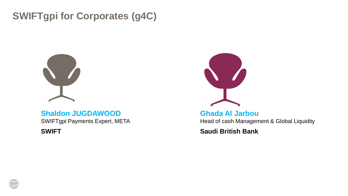# **SWIFTgpi for Corporates (g4C)**



# **Shaldon JUGDAWOOD**

SWIFTgpi Payments Expert, META

**SWIFT**



# **Ghada Al Jarbou** Head of cash Management & Global Liquidity

**Saudi British Bank**

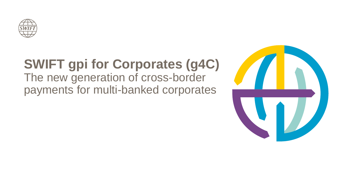

# **SWIFT gpi for Corporates (g4C)**

The new generation of cross-border payments for multi-banked corporates

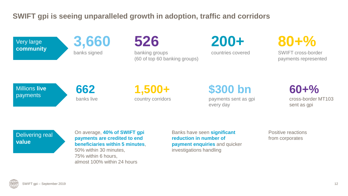# **SWIFT gpi is seeing unparalleled growth in adoption, traffic and corridors**

Very large **community** **3,660** banks signed

**526**

banking groups (60 of top 60 banking groups) **200+**

countries covered

**80+%** 

SWIFT cross-border payments represented

Millions **live** payments

**662** banks live **1,500+** country corridors **\$300 bn** payments sent as gpi every day

**60+%** cross-border MT103 sent as gpi

Delivering real **value**

On average, **40% of SWIFT gpi payments are credited to end beneficiaries within 5 minutes**, 50% within 30 minutes,

75% within 6 hours, almost 100% within 24 hours Banks have seen **significant reduction in number of payment enquiries** and quicker investigations handling

Positive reactions from corporates

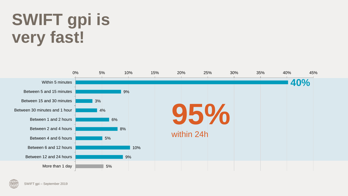# **SWIFT gpi is very fast!**



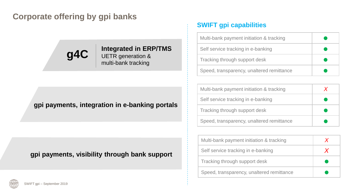# **Corporate offering by gpi banks**



## **Integrated in ERP/TMS** UETR generation & multi-bank tracking

## **gpi payments, integration in e-banking portals**

# **gpi payments, visibility through bank support**

# **SWIFT gpi capabilities**

| Multi-bank payment initiation & tracking  |  |
|-------------------------------------------|--|
| Self service tracking in e-banking        |  |
| Tracking through support desk             |  |
| Speed, transparency, unaltered remittance |  |

| Multi-bank payment initiation & tracking  |  |
|-------------------------------------------|--|
| Self service tracking in e-banking        |  |
| Tracking through support desk             |  |
| Speed, transparency, unaltered remittance |  |

| Multi-bank payment initiation & tracking  |  |
|-------------------------------------------|--|
| Self service tracking in e-banking        |  |
| Tracking through support desk             |  |
| Speed, transparency, unaltered remittance |  |

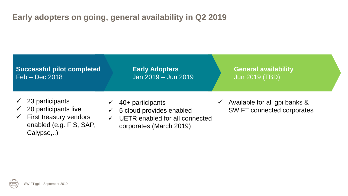# **Early adopters on going, general availability in Q2 2019**

**Successful pilot completed** Feb – Dec 2018

**Early Adopters** Jan 2019 – Jun 2019 **General availability** Jun 2019 (TBD)

- $\checkmark$  23 participants
- $\checkmark$  20 participants live
- $\checkmark$  First treasury vendors enabled (e.g. FIS, SAP, Calypso,..)
- 40+ participants
- $\checkmark$  5 cloud provides enabled
- $\checkmark$  UETR enabled for all connected corporates (March 2019)
- $\checkmark$  Available for all gpi banks & SWIFT connected corporates

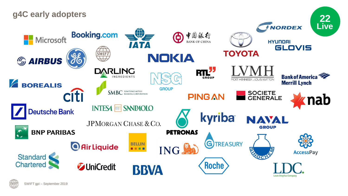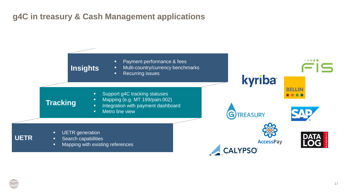# **g4C in treasury & Cash Management applications**



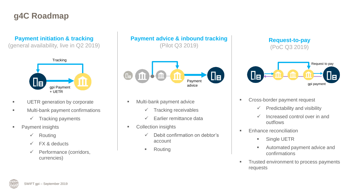# **g4C Roadmap**

### **Payment initiation & tracking**

(general availability, live in Q2 2019)



- **UETR generation by corporate**
- **■** Multi-bank payment confirmations
	- $\checkmark$  Tracking payments
- **•** Payment insights
	- ✓ Routing
	- ✓ FX & deducts
	- ✓ Performance (corridors, currencies)

**Payment advice & inbound tracking** (Pilot Q3 2019)



- Multi-bank payment advice
	- ✓ Tracking receivables
	- ✓ Earlier remittance data
- Collection insights
	- ✓ Debit confirmation on debtor's account
	- Routing

### **Request-to-pay** (PoC Q3 2019)



- Cross-border payment request
	- $\checkmark$  Predictability and visibility
	- ✓ Increased control over in and outflows
- **Enhance reconciliation** 
	- **Example UETR**
	- Automated payment advice and confirmations
- **Trusted environment to process payments** requests

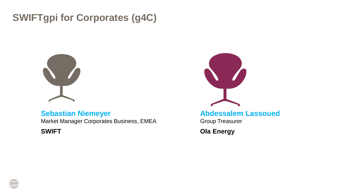# **SWIFTgpi for Corporates (g4C)**



# **Sebastian Niemeyer**

Market Manager Corporates Business, EMEA

**SWIFT**



**Abdessalem Lassoued**

Group Treasurer

**Ola Energy**